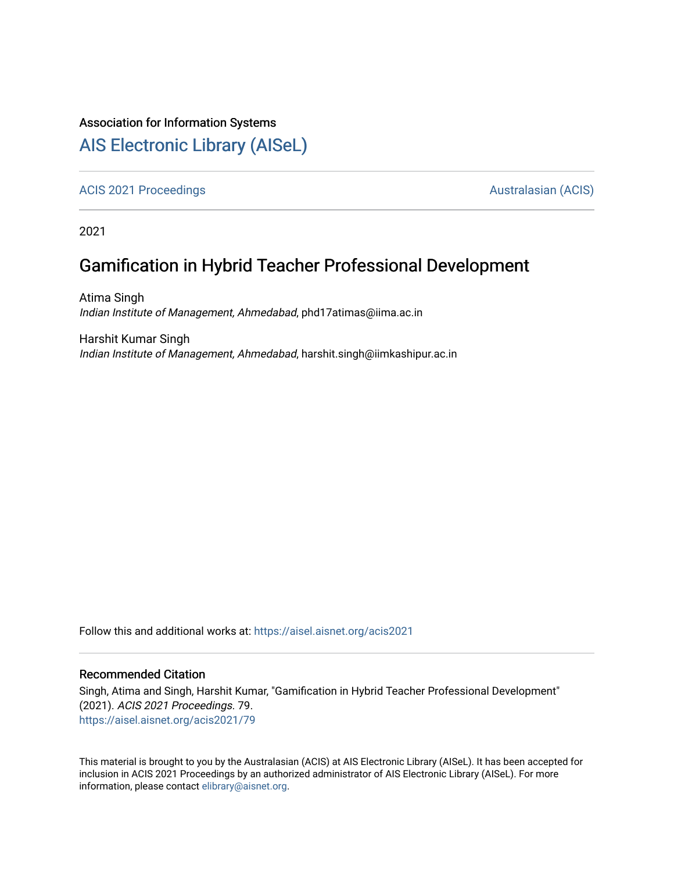#### Association for Information Systems

## [AIS Electronic Library \(AISeL\)](https://aisel.aisnet.org/)

[ACIS 2021 Proceedings](https://aisel.aisnet.org/acis2021) **AUSTRALIA CIS** Australasian (ACIS)

2021

## Gamification in Hybrid Teacher Professional Development

Atima Singh Indian Institute of Management, Ahmedabad, phd17atimas@iima.ac.in

Harshit Kumar Singh Indian Institute of Management, Ahmedabad, harshit.singh@iimkashipur.ac.in

Follow this and additional works at: [https://aisel.aisnet.org/acis2021](https://aisel.aisnet.org/acis2021?utm_source=aisel.aisnet.org%2Facis2021%2F79&utm_medium=PDF&utm_campaign=PDFCoverPages) 

#### Recommended Citation

Singh, Atima and Singh, Harshit Kumar, "Gamification in Hybrid Teacher Professional Development" (2021). ACIS 2021 Proceedings. 79. [https://aisel.aisnet.org/acis2021/79](https://aisel.aisnet.org/acis2021/79?utm_source=aisel.aisnet.org%2Facis2021%2F79&utm_medium=PDF&utm_campaign=PDFCoverPages)

This material is brought to you by the Australasian (ACIS) at AIS Electronic Library (AISeL). It has been accepted for inclusion in ACIS 2021 Proceedings by an authorized administrator of AIS Electronic Library (AISeL). For more information, please contact [elibrary@aisnet.org.](mailto:elibrary@aisnet.org%3E)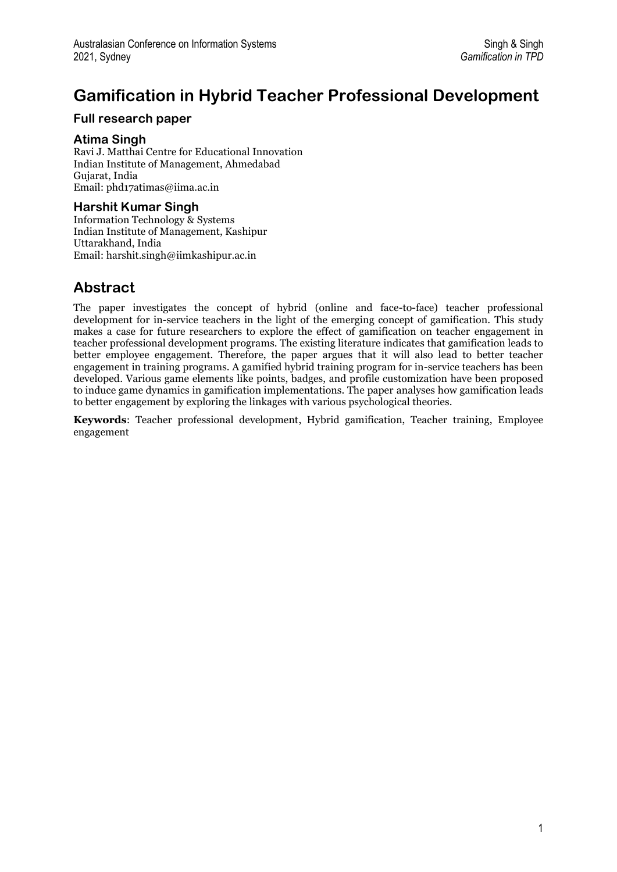# **Gamification in Hybrid Teacher Professional Development**

#### **Full research paper**

#### **Atima Singh**

Ravi J. Matthai Centre for Educational Innovation Indian Institute of Management, Ahmedabad Gujarat, India Email[: phd17atimas@iima.ac.in](mailto:phd17atimas@iima.ac.in)

#### **Harshit Kumar Singh**

Information Technology & Systems Indian Institute of Management, Kashipur Uttarakhand, India Email[: harshit.singh@iimkashipur.ac.in](mailto:harshit.singh@iimkashipur.ac.in)

### **Abstract**

The paper investigates the concept of hybrid (online and face-to-face) teacher professional development for in-service teachers in the light of the emerging concept of gamification. This study makes a case for future researchers to explore the effect of gamification on teacher engagement in teacher professional development programs. The existing literature indicates that gamification leads to better employee engagement. Therefore, the paper argues that it will also lead to better teacher engagement in training programs. A gamified hybrid training program for in-service teachers has been developed. Various game elements like points, badges, and profile customization have been proposed to induce game dynamics in gamification implementations. The paper analyses how gamification leads to better engagement by exploring the linkages with various psychological theories.

**Keywords**: Teacher professional development, Hybrid gamification, Teacher training, Employee engagement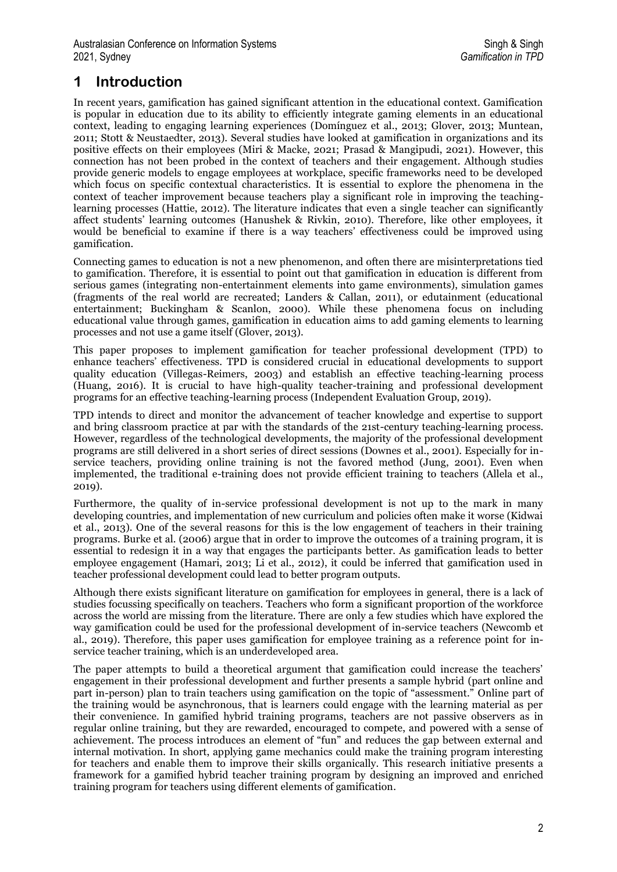## **1 Introduction**

In recent years, gamification has gained significant attention in the educational context. Gamification is popular in education due to its ability to efficiently integrate gaming elements in an educational context, leading to engaging learning experiences (Domínguez et al., 2013; Glover, 2013; Muntean, 2011; Stott & Neustaedter, 2013). Several studies have looked at gamification in organizations and its positive effects on their employees (Miri & Macke, 2021; Prasad & Mangipudi, 2021). However, this connection has not been probed in the context of teachers and their engagement. Although studies provide generic models to engage employees at workplace, specific frameworks need to be developed which focus on specific contextual characteristics. It is essential to explore the phenomena in the context of teacher improvement because teachers play a significant role in improving the teachinglearning processes (Hattie, 2012). The literature indicates that even a single teacher can significantly affect students' learning outcomes (Hanushek & Rivkin, 2010). Therefore, like other employees, it would be beneficial to examine if there is a way teachers' effectiveness could be improved using gamification.

Connecting games to education is not a new phenomenon, and often there are misinterpretations tied to gamification. Therefore, it is essential to point out that gamification in education is different from serious games (integrating non-entertainment elements into game environments), simulation games (fragments of the real world are recreated; Landers & Callan, 2011), or edutainment (educational entertainment; Buckingham & Scanlon, 2000). While these phenomena focus on including educational value through games, gamification in education aims to add gaming elements to learning processes and not use a game itself (Glover, 2013).

This paper proposes to implement gamification for teacher professional development (TPD) to enhance teachers' effectiveness. TPD is considered crucial in educational developments to support quality education (Villegas-Reimers, 2003) and establish an effective teaching-learning process (Huang, 2016). It is crucial to have high-quality teacher-training and professional development programs for an effective teaching-learning process (Independent Evaluation Group, 2019).

TPD intends to direct and monitor the advancement of teacher knowledge and expertise to support and bring classroom practice at par with the standards of the 21st-century teaching-learning process. However, regardless of the technological developments, the majority of the professional development programs are still delivered in a short series of direct sessions (Downes et al., 2001). Especially for inservice teachers, providing online training is not the favored method (Jung, 2001). Even when implemented, the traditional e-training does not provide efficient training to teachers (Allela et al., 2019).

Furthermore, the quality of in-service professional development is not up to the mark in many developing countries, and implementation of new curriculum and policies often make it worse (Kidwai et al., 2013). One of the several reasons for this is the low engagement of teachers in their training programs. Burke et al. (2006) argue that in order to improve the outcomes of a training program, it is essential to redesign it in a way that engages the participants better. As gamification leads to better employee engagement (Hamari, 2013; Li et al., 2012), it could be inferred that gamification used in teacher professional development could lead to better program outputs.

Although there exists significant literature on gamification for employees in general, there is a lack of studies focussing specifically on teachers. Teachers who form a significant proportion of the workforce across the world are missing from the literature. There are only a few studies which have explored the way gamification could be used for the professional development of in-service teachers (Newcomb et al., 2019). Therefore, this paper uses gamification for employee training as a reference point for inservice teacher training, which is an underdeveloped area.

The paper attempts to build a theoretical argument that gamification could increase the teachers' engagement in their professional development and further presents a sample hybrid (part online and part in-person) plan to train teachers using gamification on the topic of "assessment." Online part of the training would be asynchronous, that is learners could engage with the learning material as per their convenience. In gamified hybrid training programs, teachers are not passive observers as in regular online training, but they are rewarded, encouraged to compete, and powered with a sense of achievement. The process introduces an element of "fun" and reduces the gap between external and internal motivation. In short, applying game mechanics could make the training program interesting for teachers and enable them to improve their skills organically. This research initiative presents a framework for a gamified hybrid teacher training program by designing an improved and enriched training program for teachers using different elements of gamification.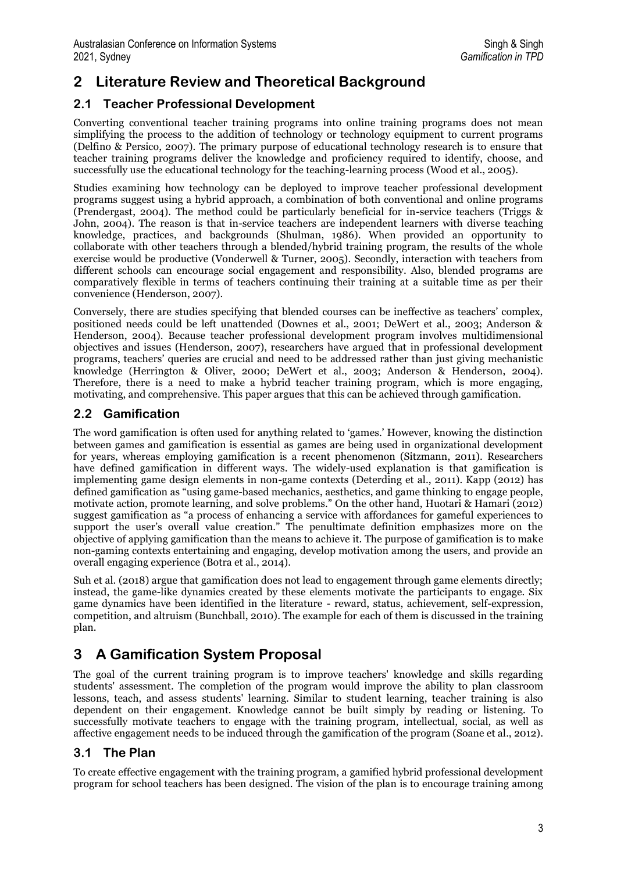## **2 Literature Review and Theoretical Background**

### **2.1 Teacher Professional Development**

Converting conventional teacher training programs into online training programs does not mean simplifying the process to the addition of technology or technology equipment to current programs (Delfino & Persico, 2007). The primary purpose of educational technology research is to ensure that teacher training programs deliver the knowledge and proficiency required to identify, choose, and successfully use the educational technology for the teaching-learning process (Wood et al., 2005).

Studies examining how technology can be deployed to improve teacher professional development programs suggest using a hybrid approach, a combination of both conventional and online programs (Prendergast, 2004). The method could be particularly beneficial for in-service teachers (Triggs & John, 2004). The reason is that in-service teachers are independent learners with diverse teaching knowledge, practices, and backgrounds (Shulman, 1986). When provided an opportunity to collaborate with other teachers through a blended/hybrid training program, the results of the whole exercise would be productive (Vonderwell & Turner, 2005). Secondly, interaction with teachers from different schools can encourage social engagement and responsibility. Also, blended programs are comparatively flexible in terms of teachers continuing their training at a suitable time as per their convenience (Henderson, 2007).

Conversely, there are studies specifying that blended courses can be ineffective as teachers' complex, positioned needs could be left unattended (Downes et al., 2001; DeWert et al., 2003; Anderson & Henderson, 2004). Because teacher professional development program involves multidimensional objectives and issues (Henderson, 2007), researchers have argued that in professional development programs, teachers' queries are crucial and need to be addressed rather than just giving mechanistic knowledge (Herrington & Oliver, 2000; DeWert et al., 2003; Anderson & Henderson, 2004). Therefore, there is a need to make a hybrid teacher training program, which is more engaging, motivating, and comprehensive. This paper argues that this can be achieved through gamification.

#### **2.2 Gamification**

The word gamification is often used for anything related to 'games.' However, knowing the distinction between games and gamification is essential as games are being used in organizational development for years, whereas employing gamification is a recent phenomenon (Sitzmann, 2011). Researchers have defined gamification in different ways. The widely-used explanation is that gamification is implementing game design elements in non-game contexts (Deterding et al., 2011). Kapp (2012) has defined gamification as "using game-based mechanics, aesthetics, and game thinking to engage people, motivate action, promote learning, and solve problems." On the other hand, Huotari & Hamari (2012) suggest gamification as "a process of enhancing a service with affordances for gameful experiences to support the user's overall value creation." The penultimate definition emphasizes more on the objective of applying gamification than the means to achieve it. The purpose of gamification is to make non-gaming contexts entertaining and engaging, develop motivation among the users, and provide an overall engaging experience (Botra et al., 2014).

Suh et al. (2018) argue that gamification does not lead to engagement through game elements directly; instead, the game-like dynamics created by these elements motivate the participants to engage. Six game dynamics have been identified in the literature - reward, status, achievement, self-expression, competition, and altruism (Bunchball, 2010). The example for each of them is discussed in the training plan.

## **3 A Gamification System Proposal**

The goal of the current training program is to improve teachers' knowledge and skills regarding students' assessment. The completion of the program would improve the ability to plan classroom lessons, teach, and assess students' learning. Similar to student learning, teacher training is also dependent on their engagement. Knowledge cannot be built simply by reading or listening. To successfully motivate teachers to engage with the training program, intellectual, social, as well as affective engagement needs to be induced through the gamification of the program (Soane et al., 2012).

### **3.1 The Plan**

To create effective engagement with the training program, a gamified hybrid professional development program for school teachers has been designed. The vision of the plan is to encourage training among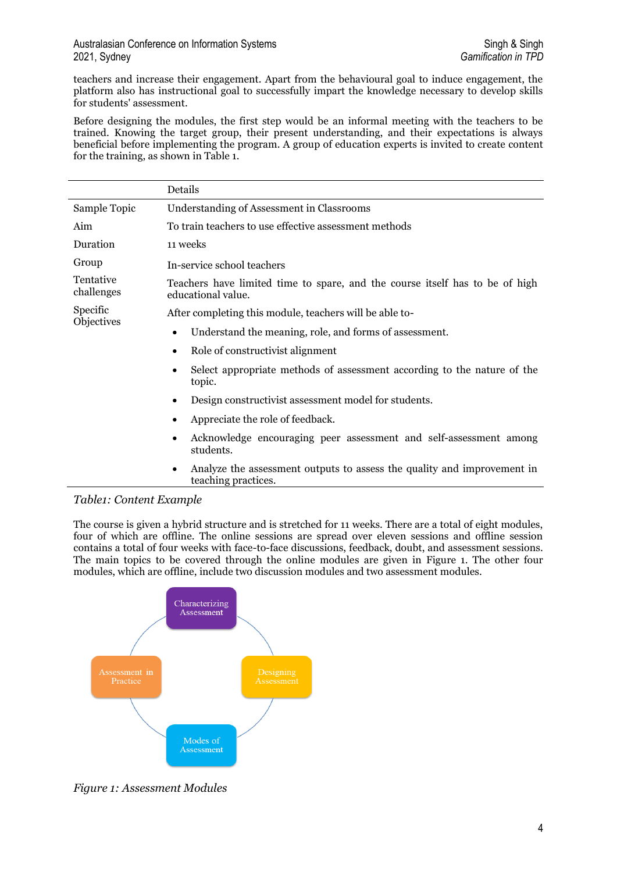teachers and increase their engagement. Apart from the behavioural goal to induce engagement, the platform also has instructional goal to successfully impart the knowledge necessary to develop skills for students' assessment.

Before designing the modules, the first step would be an informal meeting with the teachers to be trained. Knowing the target group, their present understanding, and their expectations is always beneficial before implementing the program. A group of education experts is invited to create content for the training, as shown in Table 1.

|                         | Details                                                                                                     |  |  |
|-------------------------|-------------------------------------------------------------------------------------------------------------|--|--|
| Sample Topic            | Understanding of Assessment in Classrooms                                                                   |  |  |
| Aim                     | To train teachers to use effective assessment methods                                                       |  |  |
| Duration                | 11 weeks                                                                                                    |  |  |
| Group                   | In-service school teachers                                                                                  |  |  |
| Tentative<br>challenges | Teachers have limited time to spare, and the course itself has to be of high<br>educational value.          |  |  |
| Specific                | After completing this module, teachers will be able to-                                                     |  |  |
| Objectives              | Understand the meaning, role, and forms of assessment.                                                      |  |  |
|                         | Role of constructivist alignment<br>$\bullet$                                                               |  |  |
|                         | Select appropriate methods of assessment according to the nature of the<br>$\bullet$<br>topic.              |  |  |
|                         | Design constructivist assessment model for students.<br>$\bullet$                                           |  |  |
|                         | Appreciate the role of feedback.<br>٠                                                                       |  |  |
|                         | Acknowledge encouraging peer assessment and self-assessment among<br>$\bullet$<br>students.                 |  |  |
|                         | Analyze the assessment outputs to assess the quality and improvement in<br>$\bullet$<br>teaching practices. |  |  |

#### *Table1: Content Example*

The course is given a hybrid structure and is stretched for 11 weeks. There are a total of eight modules, four of which are offline. The online sessions are spread over eleven sessions and offline session contains a total of four weeks with face-to-face discussions, feedback, doubt, and assessment sessions. The main topics to be covered through the online modules are given in Figure 1. The other four modules, which are offline, include two discussion modules and two assessment modules.



*Figure 1: Assessment Modules*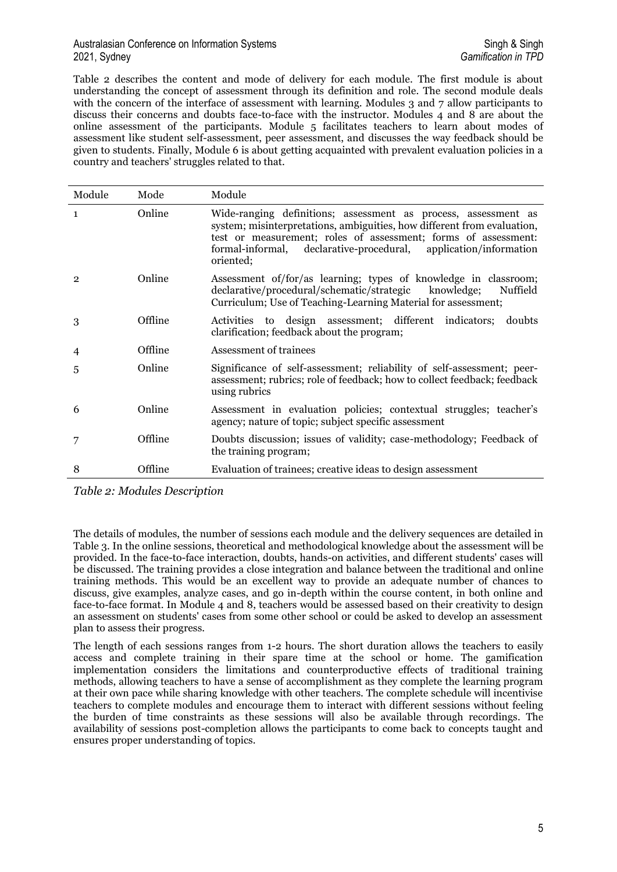#### Australasian Conference on Information Systems State of State of Singh & Singh & Singh & Singh & Singh & Singh 2021, Sydney *Gamification in TPD*

Table 2 describes the content and mode of delivery for each module. The first module is about understanding the concept of assessment through its definition and role. The second module deals with the concern of the interface of assessment with learning. Modules 3 and 7 allow participants to discuss their concerns and doubts face-to-face with the instructor. Modules 4 and 8 are about the online assessment of the participants. Module 5 facilitates teachers to learn about modes of assessment like student self-assessment, peer assessment, and discusses the way feedback should be given to students. Finally, Module 6 is about getting acquainted with prevalent evaluation policies in a country and teachers' struggles related to that.

| Module         | Mode    | Module                                                                                                                                                                                                                                                                                       |
|----------------|---------|----------------------------------------------------------------------------------------------------------------------------------------------------------------------------------------------------------------------------------------------------------------------------------------------|
| $\mathbf{1}$   | Online  | Wide-ranging definitions; assessment as process, assessment as<br>system; misinterpretations, ambiguities, how different from evaluation,<br>test or measurement; roles of assessment; forms of assessment:<br>formal-informal, declarative-procedural, application/information<br>oriented; |
| $\overline{2}$ | Online  | Assessment of/for/as learning; types of knowledge in classroom;<br>declarative/procedural/schematic/strategic knowledge;<br>Nuffield<br>Curriculum; Use of Teaching-Learning Material for assessment;                                                                                        |
| 3              | Offline | Activities to design assessment; different indicators; doubts<br>clarification; feedback about the program;                                                                                                                                                                                  |
| 4              | Offline | Assessment of trainees                                                                                                                                                                                                                                                                       |
| 5              | Online  | Significance of self-assessment; reliability of self-assessment; peer-<br>assessment; rubrics; role of feedback; how to collect feedback; feedback<br>using rubrics                                                                                                                          |
| 6              | Online  | Assessment in evaluation policies; contextual struggles; teacher's<br>agency; nature of topic; subject specific assessment                                                                                                                                                                   |
|                | Offline | Doubts discussion; issues of validity; case-methodology; Feedback of<br>the training program;                                                                                                                                                                                                |
| 8              | Offline | Evaluation of trainees; creative ideas to design assessment                                                                                                                                                                                                                                  |

*Table 2: Modules Description*

The details of modules, the number of sessions each module and the delivery sequences are detailed in Table 3. In the online sessions, theoretical and methodological knowledge about the assessment will be provided. In the face-to-face interaction, doubts, hands-on activities, and different students' cases will be discussed. The training provides a close integration and balance between the traditional and online training methods. This would be an excellent way to provide an adequate number of chances to discuss, give examples, analyze cases, and go in-depth within the course content, in both online and face-to-face format. In Module 4 and 8, teachers would be assessed based on their creativity to design an assessment on students' cases from some other school or could be asked to develop an assessment plan to assess their progress.

The length of each sessions ranges from 1-2 hours. The short duration allows the teachers to easily access and complete training in their spare time at the school or home. The gamification implementation considers the limitations and counterproductive effects of traditional training methods, allowing teachers to have a sense of accomplishment as they complete the learning program at their own pace while sharing knowledge with other teachers. The complete schedule will incentivise teachers to complete modules and encourage them to interact with different sessions without feeling the burden of time constraints as these sessions will also be available through recordings. The availability of sessions post-completion allows the participants to come back to concepts taught and ensures proper understanding of topics.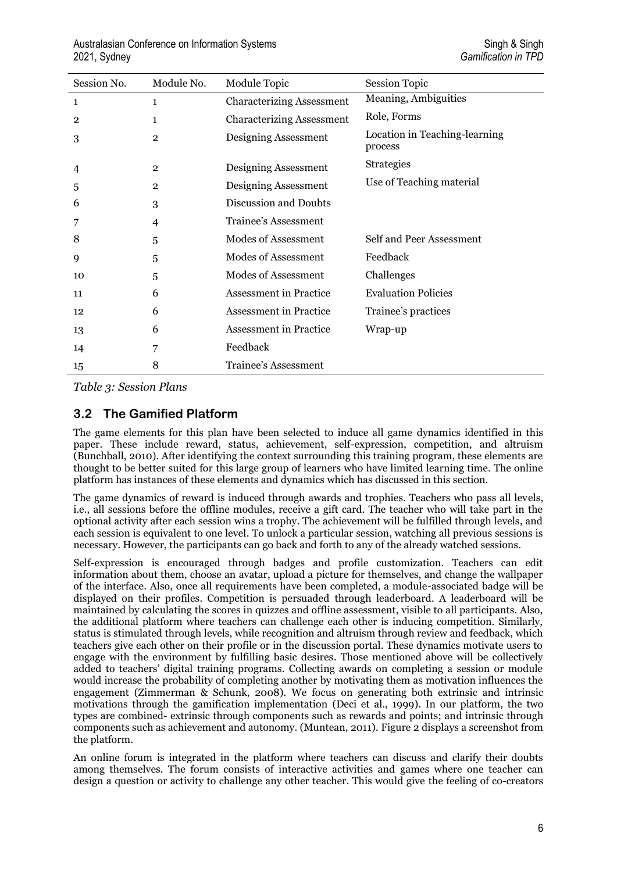| Session No.    | Module No.     | Module Topic                     | <b>Session Topic</b>                     |
|----------------|----------------|----------------------------------|------------------------------------------|
| $\mathbf{1}$   | $\mathbf{1}$   | <b>Characterizing Assessment</b> | Meaning, Ambiguities                     |
| $\overline{2}$ | 1              | <b>Characterizing Assessment</b> | Role, Forms                              |
| 3              | $\overline{2}$ | Designing Assessment             | Location in Teaching-learning<br>process |
| 4              | $\mathbf{2}$   | Designing Assessment             | <b>Strategies</b>                        |
| 5              | $\overline{2}$ | Designing Assessment             | Use of Teaching material                 |
| 6              | 3              | Discussion and Doubts            |                                          |
| 7              | 4              | Trainee's Assessment             |                                          |
| 8              | 5              | Modes of Assessment              | Self and Peer Assessment                 |
| 9              | 5              | Modes of Assessment              | Feedback                                 |
| 10             | 5              | Modes of Assessment              | Challenges                               |
| 11             | 6              | Assessment in Practice           | <b>Evaluation Policies</b>               |
| 12             | 6              | <b>Assessment</b> in Practice    | Trainee's practices                      |
| 13             | 6              | <b>Assessment</b> in Practice    | Wrap-up                                  |
| 14             | 7              | Feedback                         |                                          |
| 15             | 8              | Trainee's Assessment             |                                          |

*Table 3: Session Plans* 

#### **3.2 The Gamified Platform**

The game elements for this plan have been selected to induce all game dynamics identified in this paper. These include reward, status, achievement, self-expression, competition, and altruism (Bunchball, 2010). After identifying the context surrounding this training program, these elements are thought to be better suited for this large group of learners who have limited learning time. The online platform has instances of these elements and dynamics which has discussed in this section.

The game dynamics of reward is induced through awards and trophies. Teachers who pass all levels, i.e., all sessions before the offline modules, receive a gift card. The teacher who will take part in the optional activity after each session wins a trophy. The achievement will be fulfilled through levels, and each session is equivalent to one level. To unlock a particular session, watching all previous sessions is necessary. However, the participants can go back and forth to any of the already watched sessions.

Self-expression is encouraged through badges and profile customization. Teachers can edit information about them, choose an avatar, upload a picture for themselves, and change the wallpaper of the interface. Also, once all requirements have been completed, a module-associated badge will be displayed on their profiles. Competition is persuaded through leaderboard. A leaderboard will be maintained by calculating the scores in quizzes and offline assessment, visible to all participants. Also, the additional platform where teachers can challenge each other is inducing competition. Similarly, status is stimulated through levels, while recognition and altruism through review and feedback, which teachers give each other on their profile or in the discussion portal. These dynamics motivate users to engage with the environment by fulfilling basic desires. Those mentioned above will be collectively added to teachers' digital training programs. Collecting awards on completing a session or module would increase the probability of completing another by motivating them as motivation influences the engagement (Zimmerman & Schunk, 2008). We focus on generating both extrinsic and intrinsic motivations through the gamification implementation (Deci et al., 1999). In our platform, the two types are combined- extrinsic through components such as rewards and points; and intrinsic through components such as achievement and autonomy. (Muntean, 2011). Figure 2 displays a screenshot from the platform.

An online forum is integrated in the platform where teachers can discuss and clarify their doubts among themselves. The forum consists of interactive activities and games where one teacher can design a question or activity to challenge any other teacher. This would give the feeling of co-creators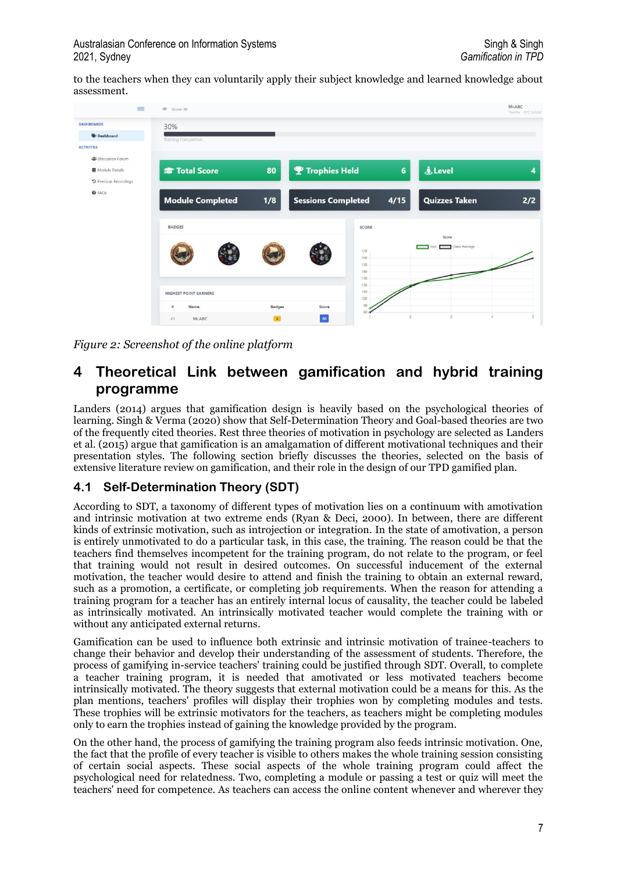to the teachers when they can voluntarily apply their subject knowledge and learned knowledge about assessment.



*Figure 2: Screenshot of the online platform*

### **4 Theoretical Link between gamification and hybrid training programme**

Landers (2014) argues that gamification design is heavily based on the psychological theories of learning. Singh & Verma (2020) show that Self-Determination Theory and Goal-based theories are two of the frequently cited theories. Rest three theories of motivation in psychology are selected as Landers et al. (2015) argue that gamification is an amalgamation of different motivational techniques and their presentation styles. The following section briefly discusses the theories, selected on the basis of extensive literature review on gamification, and their role in the design of our TPD gamified plan.

### **4.1 Self-Determination Theory (SDT)**

According to SDT, a taxonomy of different types of motivation lies on a continuum with amotivation and intrinsic motivation at two extreme ends (Ryan & Deci, 2000). In between, there are different kinds of extrinsic motivation, such as introjection or integration. In the state of amotivation, a person is entirely unmotivated to do a particular task, in this case, the training. The reason could be that the teachers find themselves incompetent for the training program, do not relate to the program, or feel that training would not result in desired outcomes. On successful inducement of the external motivation, the teacher would desire to attend and finish the training to obtain an external reward, such as a promotion, a certificate, or completing job requirements. When the reason for attending a training program for a teacher has an entirely internal locus of causality, the teacher could be labeled as intrinsically motivated. An intrinsically motivated teacher would complete the training with or without any anticipated external returns.

Gamification can be used to influence both extrinsic and intrinsic motivation of trainee-teachers to change their behavior and develop their understanding of the assessment of students. Therefore, the process of gamifying in-service teachers' training could be justified through SDT. Overall, to complete a teacher training program, it is needed that amotivated or less motivated teachers become intrinsically motivated. The theory suggests that external motivation could be a means for this. As the plan mentions, teachers' profiles will display their trophies won by completing modules and tests. These trophies will be extrinsic motivators for the teachers, as teachers might be completing modules only to earn the trophies instead of gaining the knowledge provided by the program.

On the other hand, the process of gamifying the training program also feeds intrinsic motivation. One, the fact that the profile of every teacher is visible to others makes the whole training session consisting of certain social aspects. These social aspects of the whole training program could affect the psychological need for relatedness. Two, completing a module or passing a test or quiz will meet the teachers' need for competence. As teachers can access the online content whenever and wherever they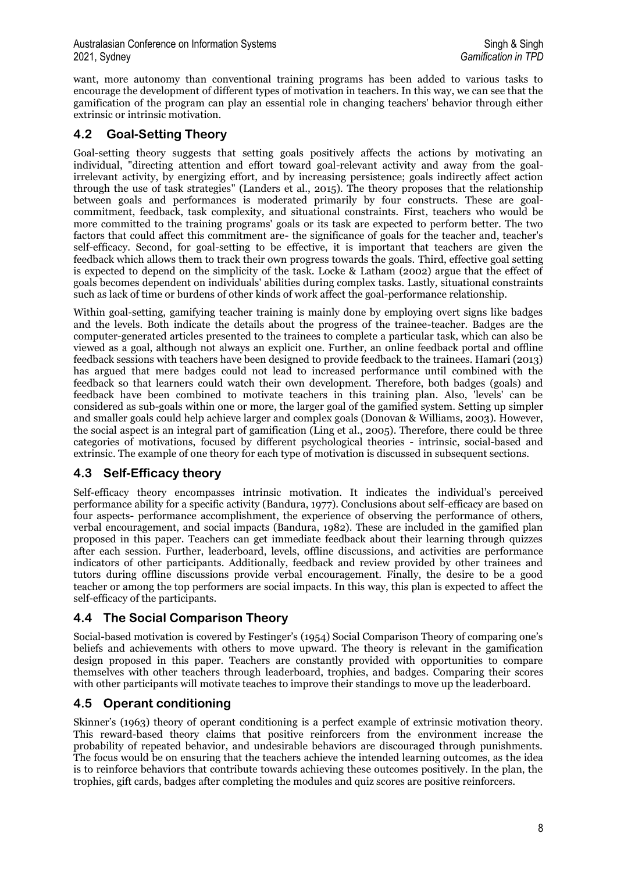want, more autonomy than conventional training programs has been added to various tasks to encourage the development of different types of motivation in teachers. In this way, we can see that the gamification of the program can play an essential role in changing teachers' behavior through either extrinsic or intrinsic motivation.

### **4.2 Goal-Setting Theory**

Goal-setting theory suggests that setting goals positively affects the actions by motivating an individual, "directing attention and effort toward goal-relevant activity and away from the goalirrelevant activity, by energizing effort, and by increasing persistence; goals indirectly affect action through the use of task strategies" (Landers et al., 2015). The theory proposes that the relationship between goals and performances is moderated primarily by four constructs. These are goalcommitment, feedback, task complexity, and situational constraints. First, teachers who would be more committed to the training programs' goals or its task are expected to perform better. The two factors that could affect this commitment are- the significance of goals for the teacher and, teacher's self-efficacy. Second, for goal-setting to be effective, it is important that teachers are given the feedback which allows them to track their own progress towards the goals. Third, effective goal setting is expected to depend on the simplicity of the task. Locke & Latham (2002) argue that the effect of goals becomes dependent on individuals' abilities during complex tasks. Lastly, situational constraints such as lack of time or burdens of other kinds of work affect the goal-performance relationship.

Within goal-setting, gamifying teacher training is mainly done by employing overt signs like badges and the levels. Both indicate the details about the progress of the trainee-teacher. Badges are the computer-generated articles presented to the trainees to complete a particular task, which can also be viewed as a goal, although not always an explicit one. Further, an online feedback portal and offline feedback sessions with teachers have been designed to provide feedback to the trainees. Hamari (2013) has argued that mere badges could not lead to increased performance until combined with the feedback so that learners could watch their own development. Therefore, both badges (goals) and feedback have been combined to motivate teachers in this training plan. Also, 'levels' can be considered as sub-goals within one or more, the larger goal of the gamified system. Setting up simpler and smaller goals could help achieve larger and complex goals (Donovan & Williams, 2003). However, the social aspect is an integral part of gamification (Ling et al., 2005). Therefore, there could be three categories of motivations, focused by different psychological theories - intrinsic, social-based and extrinsic. The example of one theory for each type of motivation is discussed in subsequent sections.

### **4.3 Self-Efficacy theory**

Self-efficacy theory encompasses intrinsic motivation. It indicates the individual's perceived performance ability for a specific activity (Bandura, 1977). Conclusions about self-efficacy are based on four aspects- performance accomplishment, the experience of observing the performance of others, verbal encouragement, and social impacts (Bandura, 1982). These are included in the gamified plan proposed in this paper. Teachers can get immediate feedback about their learning through quizzes after each session. Further, leaderboard, levels, offline discussions, and activities are performance indicators of other participants. Additionally, feedback and review provided by other trainees and tutors during offline discussions provide verbal encouragement. Finally, the desire to be a good teacher or among the top performers are social impacts. In this way, this plan is expected to affect the self-efficacy of the participants.

### **4.4 The Social Comparison Theory**

Social-based motivation is covered by Festinger's (1954) Social Comparison Theory of comparing one's beliefs and achievements with others to move upward. The theory is relevant in the gamification design proposed in this paper. Teachers are constantly provided with opportunities to compare themselves with other teachers through leaderboard, trophies, and badges. Comparing their scores with other participants will motivate teaches to improve their standings to move up the leaderboard.

### **4.5 Operant conditioning**

Skinner's (1963) theory of operant conditioning is a perfect example of extrinsic motivation theory. This reward-based theory claims that positive reinforcers from the environment increase the probability of repeated behavior, and undesirable behaviors are discouraged through punishments. The focus would be on ensuring that the teachers achieve the intended learning outcomes, as the idea is to reinforce behaviors that contribute towards achieving these outcomes positively. In the plan, the trophies, gift cards, badges after completing the modules and quiz scores are positive reinforcers.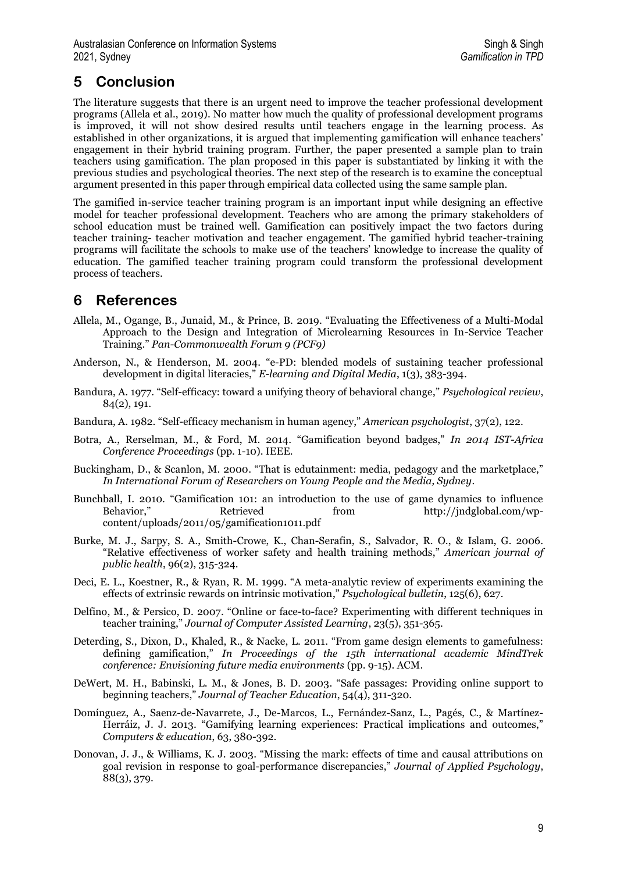## **5 Conclusion**

The literature suggests that there is an urgent need to improve the teacher professional development programs (Allela et al., 2019). No matter how much the quality of professional development programs is improved, it will not show desired results until teachers engage in the learning process. As established in other organizations, it is argued that implementing gamification will enhance teachers' engagement in their hybrid training program. Further, the paper presented a sample plan to train teachers using gamification. The plan proposed in this paper is substantiated by linking it with the previous studies and psychological theories. The next step of the research is to examine the conceptual argument presented in this paper through empirical data collected using the same sample plan.

The gamified in-service teacher training program is an important input while designing an effective model for teacher professional development. Teachers who are among the primary stakeholders of school education must be trained well. Gamification can positively impact the two factors during teacher training- teacher motivation and teacher engagement. The gamified hybrid teacher-training programs will facilitate the schools to make use of the teachers' knowledge to increase the quality of education. The gamified teacher training program could transform the professional development process of teachers.

### **6 References**

- Allela, M., Ogange, B., Junaid, M., & Prince, B. 2019. "Evaluating the Effectiveness of a Multi-Modal Approach to the Design and Integration of Microlearning Resources in In-Service Teacher Training." *Pan-Commonwealth Forum 9 (PCF9)*
- Anderson, N., & Henderson, M. 2004. "e-PD: blended models of sustaining teacher professional development in digital literacies," *E-learning and Digital Media*, 1(3), 383-394.
- Bandura, A. 1977. "Self-efficacy: toward a unifying theory of behavioral change," *Psychological review*, 84(2), 191.
- Bandura, A. 1982. "Self-efficacy mechanism in human agency," *American psychologist*, 37(2), 122.
- Botra, A., Rerselman, M., & Ford, M. 2014. "Gamification beyond badges," *In 2014 IST-Africa Conference Proceedings* (pp. 1-10). IEEE.
- Buckingham, D., & Scanlon, M. 2000. "That is edutainment: media, pedagogy and the marketplace," *In International Forum of Researchers on Young People and the Media, Sydney*.
- Bunchball, I. 2010. "Gamification 101: an introduction to the use of game dynamics to influence Behavior," Retrieved from http://jndglobal.com/wpcontent/uploads/2011/05/gamification1011.pdf
- Burke, M. J., Sarpy, S. A., Smith-Crowe, K., Chan-Serafin, S., Salvador, R. O., & Islam, G. 2006. "Relative effectiveness of worker safety and health training methods," *American journal of public health*, 96(2), 315-324.
- Deci, E. L., Koestner, R., & Ryan, R. M. 1999. "A meta-analytic review of experiments examining the effects of extrinsic rewards on intrinsic motivation," *Psychological bulletin*, 125(6), 627.
- Delfino, M., & Persico, D. 2007. "Online or face-to-face? Experimenting with different techniques in teacher training," *Journal of Computer Assisted Learning*, 23(5), 351-365.
- Deterding, S., Dixon, D., Khaled, R., & Nacke, L. 2011. "From game design elements to gamefulness: defining gamification," *In Proceedings of the 15th international academic MindTrek conference: Envisioning future media environments* (pp. 9-15). ACM.
- DeWert, M. H., Babinski, L. M., & Jones, B. D. 2003. "Safe passages: Providing online support to beginning teachers," *Journal of Teacher Education*, 54(4), 311-320.
- Domínguez, A., Saenz-de-Navarrete, J., De-Marcos, L., Fernández-Sanz, L., Pagés, C., & Martínez-Herráiz, J. J. 2013. "Gamifying learning experiences: Practical implications and outcomes," *Computers & education*, 63, 380-392.
- Donovan, J. J., & Williams, K. J. 2003. "Missing the mark: effects of time and causal attributions on goal revision in response to goal-performance discrepancies," *Journal of Applied Psychology*, 88(3), 379.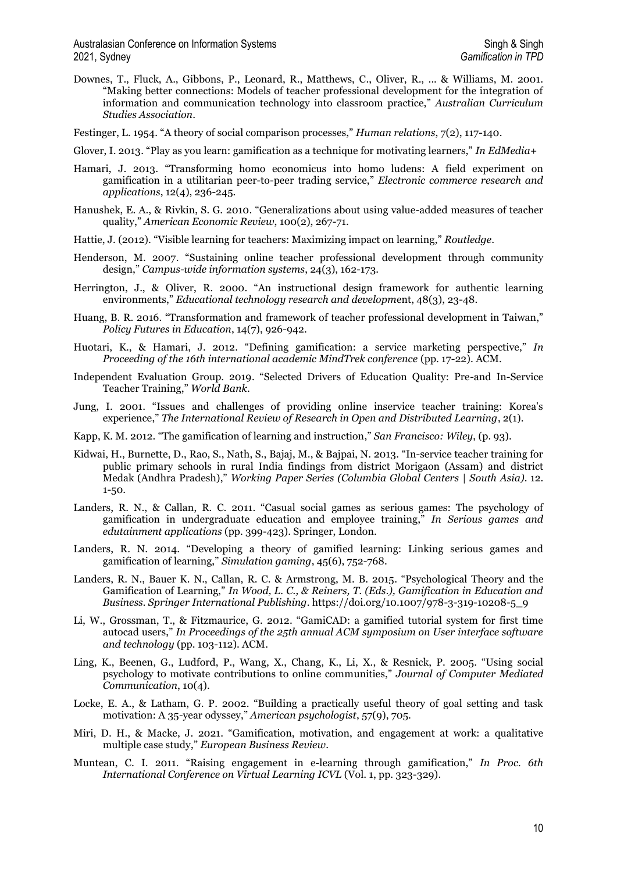Downes, T., Fluck, A., Gibbons, P., Leonard, R., Matthews, C., Oliver, R., ... & Williams, M. 2001. "Making better connections: Models of teacher professional development for the integration of information and communication technology into classroom practice," *Australian Curriculum Studies Association*.

Festinger, L. 1954. "A theory of social comparison processes," *Human relations*, 7(2), 117-140.

- Glover, I. 2013. "Play as you learn: gamification as a technique for motivating learners," *In EdMedia+*
- Hamari, J. 2013. "Transforming homo economicus into homo ludens: A field experiment on gamification in a utilitarian peer-to-peer trading service," *Electronic commerce research and applications*, 12(4), 236-245.
- Hanushek, E. A., & Rivkin, S. G. 2010. "Generalizations about using value-added measures of teacher quality," *American Economic Review*, 100(2), 267-71.
- Hattie, J. (2012). "Visible learning for teachers: Maximizing impact on learning," *Routledge*.
- Henderson, M. 2007. "Sustaining online teacher professional development through community design," *Campus-wide information systems*, 24(3), 162-173.
- Herrington, J., & Oliver, R. 2000. "An instructional design framework for authentic learning environments," *Educational technology research and developm*ent, 48(3), 23-48.
- Huang, B. R. 2016. "Transformation and framework of teacher professional development in Taiwan," *Policy Futures in Education*, 14(7), 926-942.
- Huotari, K., & Hamari, J. 2012. "Defining gamification: a service marketing perspective," *In Proceeding of the 16th international academic MindTrek conference* (pp. 17-22). ACM.
- Independent Evaluation Group. 2019. "Selected Drivers of Education Quality: Pre-and In-Service Teacher Training," *World Bank*.
- Jung, I. 2001. "Issues and challenges of providing online inservice teacher training: Korea's experience," *The International Review of Research in Open and Distributed Learning*, 2(1).
- Kapp, K. M. 2012. "The gamification of learning and instruction," *San Francisco: Wiley*, (p. 93).
- Kidwai, H., Burnette, D., Rao, S., Nath, S., Bajaj, M., & Bajpai, N. 2013. "In-service teacher training for public primary schools in rural India findings from district Morigaon (Assam) and district Medak (Andhra Pradesh)," *Working Paper Series (Columbia Global Centers | South Asia)*. 12. 1-50.
- Landers, R. N., & Callan, R. C. 2011. "Casual social games as serious games: The psychology of gamification in undergraduate education and employee training," *In Serious games and edutainment applications* (pp. 399-423). Springer, London.
- Landers, R. N. 2014. "Developing a theory of gamified learning: Linking serious games and gamification of learning," *Simulation gaming*, 45(6), 752-768.
- Landers, R. N., Bauer K. N., Callan, R. C. & Armstrong, M. B. 2015. "Psychological Theory and the Gamification of Learning," *In Wood, L. C., & Reiners, T. (Eds.), Gamification in Education and Business. Springer International Publishing*. https://doi.org/10.1007/978-3-319-10208-5\_9
- Li, W., Grossman, T., & Fitzmaurice, G. 2012. "GamiCAD: a gamified tutorial system for first time autocad users," *In Proceedings of the 25th annual ACM symposium on User interface software and technology* (pp. 103-112). ACM.
- Ling, K., Beenen, G., Ludford, P., Wang, X., Chang, K., Li, X., & Resnick, P. 2005. "Using social psychology to motivate contributions to online communities," *Journal of Computer Mediated Communication*, 10(4).
- Locke, E. A., & Latham, G. P. 2002. "Building a practically useful theory of goal setting and task motivation: A 35-year odyssey," *American psychologist*, 57(9), 705.
- Miri, D. H., & Macke, J. 2021. "Gamification, motivation, and engagement at work: a qualitative multiple case study," *European Business Review*.
- Muntean, C. I. 2011. "Raising engagement in e-learning through gamification," *In Proc. 6th International Conference on Virtual Learning ICVL* (Vol. 1, pp. 323-329).